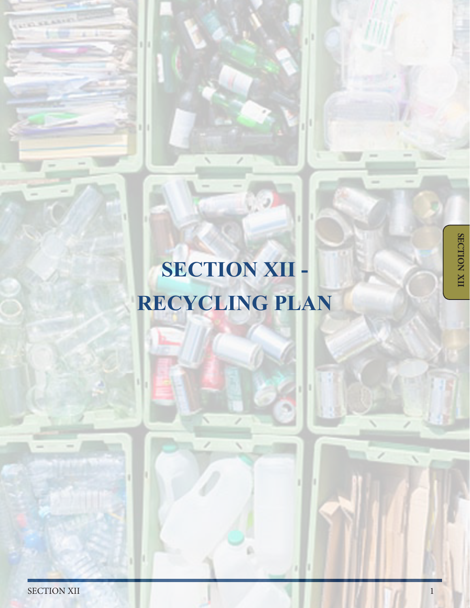## **SECTION XII - RECYCLING PLAN**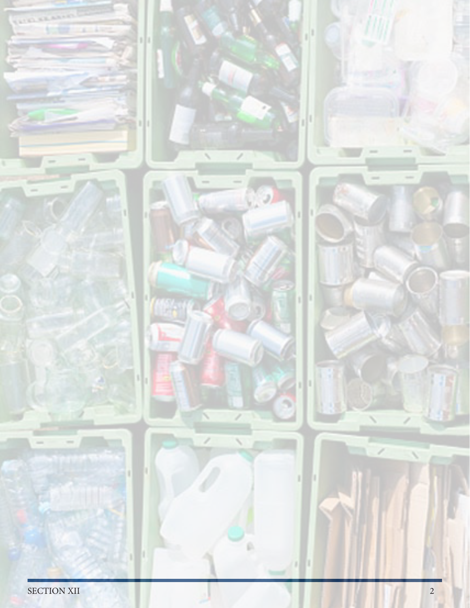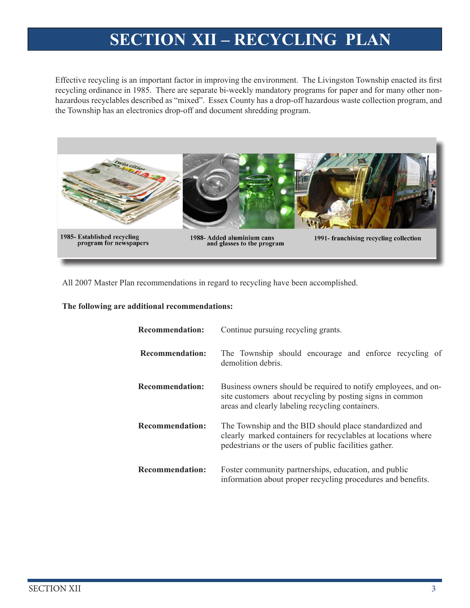## **SECTION XII – RECYCLING PLAN**

Effective recycling is an important factor in improving the environment. The Livingston Township enacted its first recycling ordinance in 1985. There are separate bi-weekly mandatory programs for paper and for many other nonhazardous recyclables described as "mixed". Essex County has a drop-off hazardous waste collection program, and the Township has an electronics drop-off and document shredding program.



All 2007 Master Plan recommendations in regard to recycling have been accomplished.

**The following are additional recommendations:**

| <b>Recommendation:</b> | Continue pursuing recycling grants.                                                                                                                                              |
|------------------------|----------------------------------------------------------------------------------------------------------------------------------------------------------------------------------|
| <b>Recommendation:</b> | The Township should encourage and enforce recycling of<br>demolition debris.                                                                                                     |
| <b>Recommendation:</b> | Business owners should be required to notify employees, and on-<br>site customers about recycling by posting signs in common<br>areas and clearly labeling recycling containers. |
| <b>Recommendation:</b> | The Township and the BID should place standardized and<br>clearly marked containers for recyclables at locations where<br>pedestrians or the users of public facilities gather.  |
| <b>Recommendation:</b> | Foster community partnerships, education, and public<br>information about proper recycling procedures and benefits.                                                              |